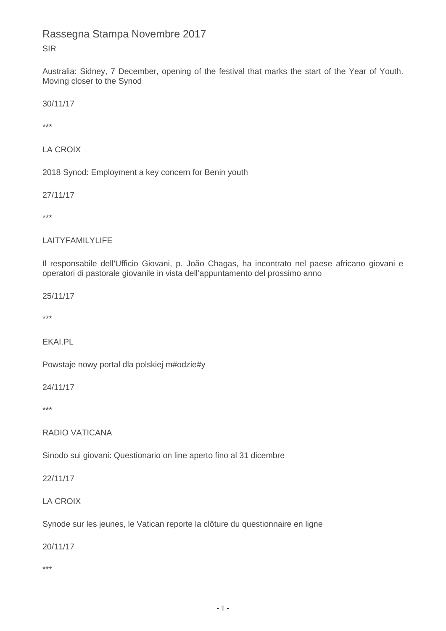# Rassegna Stampa Novembre 2017 SIR

Australia: Sidney, 7 December, opening of the festival that marks the start of the Year of Youth. Moving closer to the Synod

30/11/17

\*\*\*

LA CROIX

2018 Synod: Employment a key concern for Benin youth

27/11/17

\*\*\*

### LAITYFAMILYLIFE

Il responsabile dell'Ufficio Giovani, p. João Chagas, ha incontrato nel paese africano giovani e operatori di pastorale giovanile in vista dell'appuntamento del prossimo anno

25/11/17

\*\*\*

EKAI.PL

Powstaje nowy portal dla polskiej m#odzie#y

24/11/17

\*\*\*

RADIO VATICANA

Sinodo sui giovani: Questionario on line aperto fino al 31 dicembre

22/11/17

LA CROIX

Synode sur les jeunes, le Vatican reporte la clôture du questionnaire en ligne

20/11/17

\*\*\*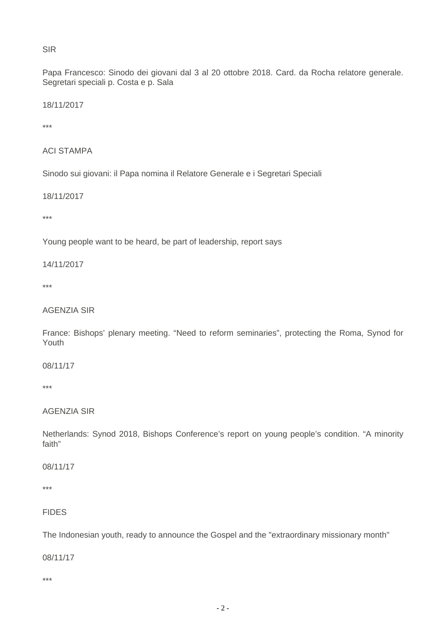#### SIR

Papa Francesco: Sinodo dei giovani dal 3 al 20 ottobre 2018. Card. da Rocha relatore generale. Segretari speciali p. Costa e p. Sala

18/11/2017

\*\*\*

```
ACI STAMPA
```
Sinodo sui giovani: il Papa nomina il Relatore Generale e i Segretari Speciali

18/11/2017

\*\*\*

Young people want to be heard, be part of leadership, report says

14/11/2017

\*\*\*

### AGENZIA SIR

France: Bishops' plenary meeting. "Need to reform seminaries", protecting the Roma, Synod for Youth

08/11/17

\*\*\*

#### AGENZIA SIR

Netherlands: Synod 2018, Bishops Conference's report on young people's condition. "A minority faith"

08/11/17

\*\*\*

### FIDES

The Indonesian youth, ready to announce the Gospel and the "extraordinary missionary month"

08/11/17

\*\*\*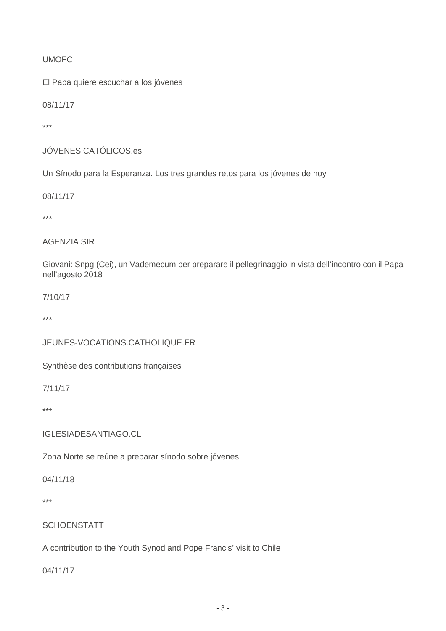## UMOFC

El Papa quiere escuchar a los jóvenes

08/11/17

\*\*\*

```
JÓVENES CATÓLICOS.es
```
Un Sínodo para la Esperanza. Los tres grandes retos para los jóvenes de hoy

08/11/17

\*\*\*

### AGENZIA SIR

Giovani: Snpg (Cei), un Vademecum per preparare il pellegrinaggio in vista dell'incontro con il Papa nell'agosto 2018

7/10/17

\*\*\*

### JEUNES-VOCATIONS.CATHOLIQUE.FR

Synthèse des contributions françaises

7/11/17

\*\*\*

IGLESIADESANTIAGO.CL

Zona Norte se reúne a preparar sínodo sobre jóvenes

04/11/18

\*\*\*

**SCHOENSTATT** 

A contribution to the Youth Synod and Pope Francis' visit to Chile

04/11/17